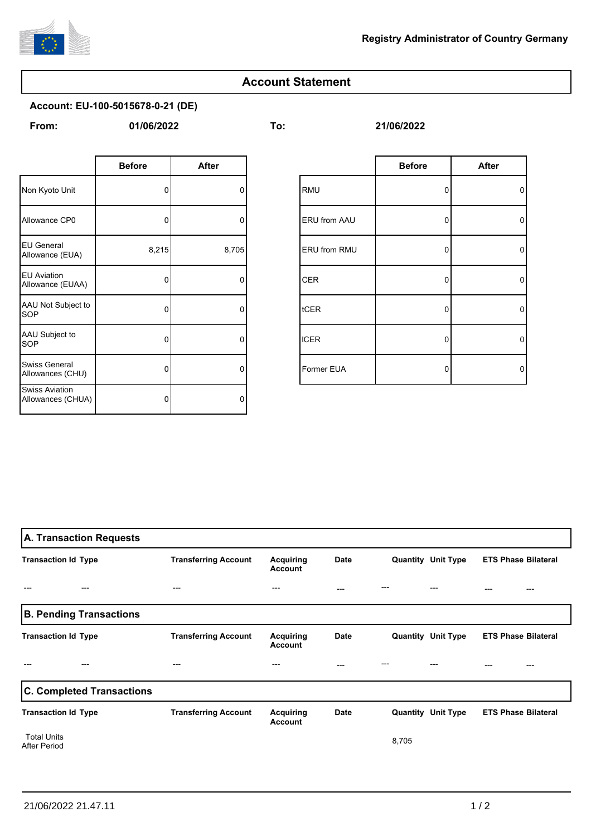

## **Account Statement**

**Account: EU-100-5015678-0-21 (DE)**

**From: To: 01/06/2022 21/06/2022**

|                                            | <b>Before</b> | <b>After</b> |             |                     | <b>Before</b> |
|--------------------------------------------|---------------|--------------|-------------|---------------------|---------------|
| Non Kyoto Unit                             | $\Omega$      | 0            | <b>RMU</b>  |                     | 0             |
| Allowance CP0                              | 0             | 0            |             | <b>ERU</b> from AAU |               |
| <b>EU General</b><br>Allowance (EUA)       | 8,215         | 8,705        |             | <b>ERU from RMU</b> | 0             |
| <b>EU Aviation</b><br>Allowance (EUAA)     | 0             | $\Omega$     | <b>CER</b>  |                     | 0             |
| AAU Not Subject to<br>SOP                  | 0             | $\Omega$     | <b>tCER</b> |                     | $\mathbf 0$   |
| AAU Subject to<br>SOP                      | 0             | 0            | <b>ICER</b> |                     | 0             |
| Swiss General<br>Allowances (CHU)          | 0             | 0            |             | Former EUA          | 0             |
| <b>Swiss Aviation</b><br>Allowances (CHUA) | 0             | $\Omega$     |             |                     |               |

| <b>Before</b> | <b>After</b> |              | <b>Before</b> | <b>After</b>   |
|---------------|--------------|--------------|---------------|----------------|
| 0             | 0            | RMU          | 0             | $\overline{0}$ |
| 0             | 0            | ERU from AAU | 0             | 0              |
| 8,215         | 8,705        | ERU from RMU | 0             | $\circ$        |
| 0             | $\Omega$     | <b>CER</b>   | 0             | 0              |
| 0             | 0            | tCER         | 0             | $\circ$        |
| 0             | $\mathbf 0$  | <b>ICER</b>  | 0             | 0              |
| 0             | 0            | Former EUA   | 0             | 0              |

| A. Transaction Requests                   |                                |                             |                                    |      |       |                           |                            |
|-------------------------------------------|--------------------------------|-----------------------------|------------------------------------|------|-------|---------------------------|----------------------------|
| <b>Transaction Id Type</b>                |                                | <b>Transferring Account</b> | Acquiring<br><b>Account</b>        | Date |       | <b>Quantity Unit Type</b> | <b>ETS Phase Bilateral</b> |
|                                           |                                | ---                         | ---                                | ---  |       |                           | ---<br>---                 |
|                                           | <b>B. Pending Transactions</b> |                             |                                    |      |       |                           |                            |
| <b>Transaction Id Type</b>                |                                | <b>Transferring Account</b> | <b>Acquiring</b><br><b>Account</b> | Date |       | <b>Quantity Unit Type</b> | <b>ETS Phase Bilateral</b> |
|                                           |                                | ---                         | ---                                | ---  |       |                           |                            |
| <b>C. Completed Transactions</b>          |                                |                             |                                    |      |       |                           |                            |
| <b>Transaction Id Type</b>                |                                | <b>Transferring Account</b> | Acquiring<br><b>Account</b>        | Date |       | <b>Quantity Unit Type</b> | <b>ETS Phase Bilateral</b> |
| <b>Total Units</b><br><b>After Period</b> |                                |                             |                                    |      | 8,705 |                           |                            |